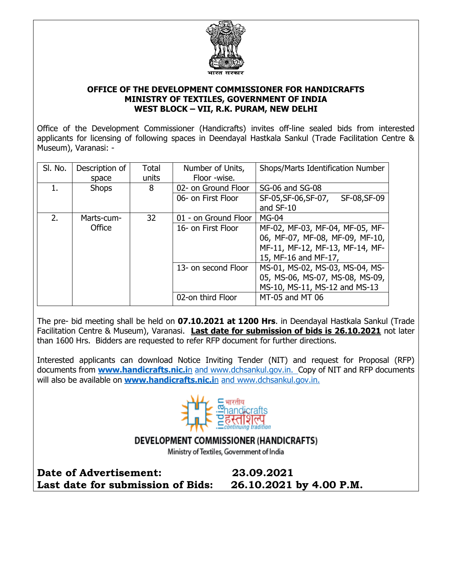

## **OFFICE OF THE DEVELOPMENT COMMISSIONER FOR HANDICRAFTS MINISTRY OF TEXTILES, GOVERNMENT OF INDIA WEST BLOCK – VII, R.K. PURAM, NEW DELHI**

Office of the Development Commissioner (Handicrafts) invites off-line sealed bids from interested applicants for licensing of following spaces in Deendayal Hastkala Sankul (Trade Facilitation Centre & Museum), Varanasi: -

| SI. No. | Description of | Total | Number of Units,                       | Shops/Marts Identification Number    |
|---------|----------------|-------|----------------------------------------|--------------------------------------|
|         | space          | units | Floor -wise.                           |                                      |
|         | <b>Shops</b>   | 8     | 02- on Ground Floor<br>SG-06 and SG-08 |                                      |
|         |                |       | 06- on First Floor                     | SF-05, SF-06, SF-07,<br>SF-08, SF-09 |
|         |                |       |                                        | and SF-10                            |
| 2.      | Marts-cum-     | 32    | 01 - on Ground Floor                   | <b>MG-04</b>                         |
|         | Office         |       | 16- on First Floor                     | MF-02, MF-03, MF-04, MF-05, MF-      |
|         |                |       |                                        | 06, MF-07, MF-08, MF-09, MF-10,      |
|         |                |       |                                        | MF-11, MF-12, MF-13, MF-14, MF-      |
|         |                |       |                                        | 15, MF-16 and MF-17,                 |
|         |                |       | 13- on second Floor                    | MS-01, MS-02, MS-03, MS-04, MS-      |
|         |                |       |                                        | 05, MS-06, MS-07, MS-08, MS-09,      |
|         |                |       |                                        | MS-10, MS-11, MS-12 and MS-13        |
|         |                |       | 02-on third Floor                      | MT-05 and MT 06                      |

The pre- bid meeting shall be held on **07.10.2021 at 1200 Hrs**. in Deendayal Hastkala Sankul (Trade Facilitation Centre & Museum), Varanasi. **Last date for submission of bids is 26.10.2021** not later than 1600 Hrs. Bidders are requested to refer RFP document for further directions.

Interested applicants can download Notice Inviting Tender (NIT) and request for Proposal (RFP) documents from **[www.handicrafts.nic.i](http://www.handicrafts.nic.in/)**n and [www.dchsankul.gov.in.](http://www.dchsankul.gov.in/) Copy of NIT and RFP documents will also be available on **[www.handicrafts.nic.i](http://www.handicrafts.nic.in/)**n and [www.dchsankul.gov.in.](http://www.dchsankul.gov.in/)



## DEVELOPMENT COMMISSIONER (HANDICRAFTS)

Ministry of Textiles, Government of India

**Date of Advertisement: 23.09.2021 Last date for submission of Bids: 26.10.2021 by 4.00 P.M.**